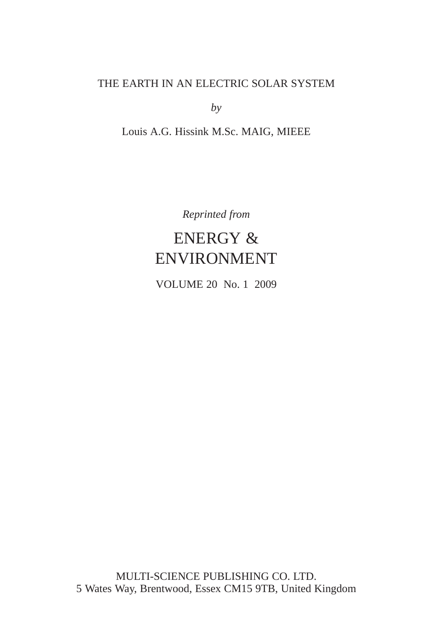# THE EARTH IN AN ELECTRIC SOLAR SYSTEM

*by*

# Louis A.G. Hissink M.Sc. MAIG, MIEEE

*Reprinted from*

# ENERGY & ENVIRONMENT

VOLUME 20 No. 1 2009

MULTI-SCIENCE PUBLISHING CO. LTD. 5 Wates Way, Brentwood, Essex CM15 9TB, United Kingdom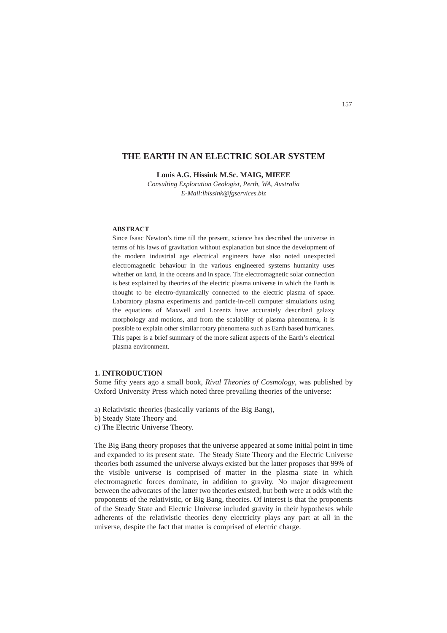# **THE EARTH IN AN ELECTRIC SOLAR SYSTEM**

**Louis A.G. Hissink M.Sc. MAIG, MIEEE**

*Consulting Exploration Geologist, Perth, WA, Australia E-Mail:lhissink@fgservices.biz* 

## **ABSTRACT**

Since Isaac Newton's time till the present, science has described the universe in terms of his laws of gravitation without explanation but since the development of the modern industrial age electrical engineers have also noted unexpected electromagnetic behaviour in the various engineered systems humanity uses whether on land, in the oceans and in space. The electromagnetic solar connection is best explained by theories of the electric plasma universe in which the Earth is thought to be electro-dynamically connected to the electric plasma of space. Laboratory plasma experiments and particle-in-cell computer simulations using the equations of Maxwell and Lorentz have accurately described galaxy morphology and motions, and from the scalability of plasma phenomena, it is possible to explain other similar rotary phenomena such as Earth based hurricanes. This paper is a brief summary of the more salient aspects of the Earth's electrical plasma environment.

# **1. INTRODUCTION**

Some fifty years ago a small book, *Rival Theories of Cosmology*, was published by Oxford University Press which noted three prevailing theories of the universe:

- a) Relativistic theories (basically variants of the Big Bang),
- b) Steady State Theory and
- c) The Electric Universe Theory.

The Big Bang theory proposes that the universe appeared at some initial point in time and expanded to its present state. The Steady State Theory and the Electric Universe theories both assumed the universe always existed but the latter proposes that 99% of the visible universe is comprised of matter in the plasma state in which electromagnetic forces dominate, in addition to gravity. No major disagreement between the advocates of the latter two theories existed, but both were at odds with the proponents of the relativistic, or Big Bang, theories. Of interest is that the proponents of the Steady State and Electric Universe included gravity in their hypotheses while adherents of the relativistic theories deny electricity plays any part at all in the universe, despite the fact that matter is comprised of electric charge.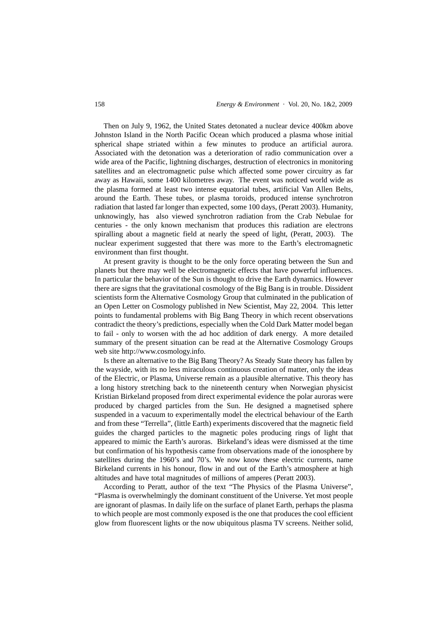Then on July 9, 1962, the United States detonated a nuclear device 400km above Johnston Island in the North Pacific Ocean which produced a plasma whose initial spherical shape striated within a few minutes to produce an artificial aurora. Associated with the detonation was a deterioration of radio communication over a wide area of the Pacific, lightning discharges, destruction of electronics in monitoring satellites and an electromagnetic pulse which affected some power circuitry as far away as Hawaii, some 1400 kilometres away. The event was noticed world wide as the plasma formed at least two intense equatorial tubes, artificial Van Allen Belts, around the Earth. These tubes, or plasma toroids, produced intense synchrotron radiation that lasted far longer than expected, some 100 days, (Peratt 2003). Humanity, unknowingly, has also viewed synchrotron radiation from the Crab Nebulae for centuries - the only known mechanism that produces this radiation are electrons spiralling about a magnetic field at nearly the speed of light, (Peratt, 2003). The nuclear experiment suggested that there was more to the Earth's electromagnetic environment than first thought.

At present gravity is thought to be the only force operating between the Sun and planets but there may well be electromagnetic effects that have powerful influences. In particular the behavior of the Sun is thought to drive the Earth dynamics. However there are signs that the gravitational cosmology of the Big Bang is in trouble. Dissident scientists form the Alternative Cosmology Group that culminated in the publication of an Open Letter on Cosmology published in New Scientist, May 22, 2004. This letter points to fundamental problems with Big Bang Theory in which recent observations contradict the theory's predictions, especially when the Cold Dark Matter model began to fail - only to worsen with the ad hoc addition of dark energy. A more detailed summary of the present situation can be read at the Alternative Cosmology Groups web site http://www.cosmology.info.

Is there an alternative to the Big Bang Theory? As Steady State theory has fallen by the wayside, with its no less miraculous continuous creation of matter, only the ideas of the Electric, or Plasma, Universe remain as a plausible alternative. This theory has a long history stretching back to the nineteenth century when Norwegian physicist Kristian Birkeland proposed from direct experimental evidence the polar auroras were produced by charged particles from the Sun. He designed a magnetised sphere suspended in a vacuum to experimentally model the electrical behaviour of the Earth and from these "Terrella", (little Earth) experiments discovered that the magnetic field guides the charged particles to the magnetic poles producing rings of light that appeared to mimic the Earth's auroras. Birkeland's ideas were dismissed at the time but confirmation of his hypothesis came from observations made of the ionosphere by satellites during the 1960's and 70's. We now know these electric currents, name Birkeland currents in his honour, flow in and out of the Earth's atmosphere at high altitudes and have total magnitudes of millions of amperes (Peratt 2003).

According to Peratt, author of the text "The Physics of the Plasma Universe", "Plasma is overwhelmingly the dominant constituent of the Universe. Yet most people are ignorant of plasmas. In daily life on the surface of planet Earth, perhaps the plasma to which people are most commonly exposed is the one that produces the cool efficient glow from fluorescent lights or the now ubiquitous plasma TV screens. Neither solid,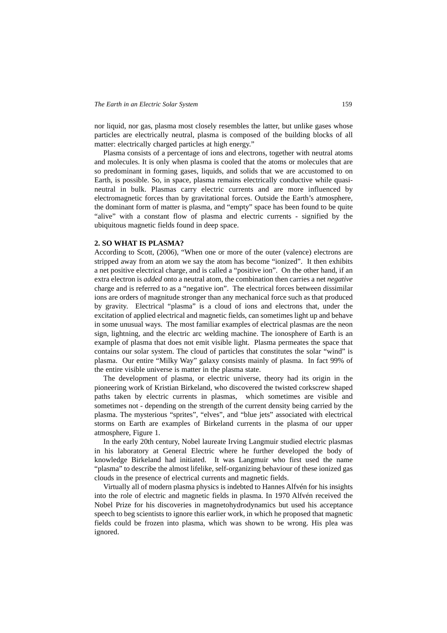nor liquid, nor gas, plasma most closely resembles the latter, but unlike gases whose particles are electrically neutral, plasma is composed of the building blocks of all matter: electrically charged particles at high energy."

Plasma consists of a percentage of ions and electrons, together with neutral atoms and molecules. It is only when plasma is cooled that the atoms or molecules that are so predominant in forming gases, liquids, and solids that we are accustomed to on Earth, is possible. So, in space, plasma remains electrically conductive while quasineutral in bulk. Plasmas carry electric currents and are more influenced by electromagnetic forces than by gravitational forces. Outside the Earth's atmosphere, the dominant form of matter is plasma, and "empty" space has been found to be quite "alive" with a constant flow of plasma and electric currents - signified by the ubiquitous magnetic fields found in deep space.

## **2. SO WHAT IS PLASMA?**

According to Scott, (2006), "When one or more of the outer (valence) electrons are stripped away from an atom we say the atom has become "ionized". It then exhibits a net positive electrical charge, and is called a "positive ion". On the other hand, if an extra electron is *added* onto a neutral atom, the combination then carries a net *negative* charge and is referred to as a "negative ion". The electrical forces between dissimilar ions are orders of magnitude stronger than any mechanical force such as that produced by gravity. Electrical "plasma" is a cloud of ions and electrons that, under the excitation of applied electrical and magnetic fields, can sometimes light up and behave in some unusual ways. The most familiar examples of electrical plasmas are the neon sign, lightning, and the electric arc welding machine. The ionosphere of Earth is an example of plasma that does not emit visible light. Plasma permeates the space that contains our solar system. The cloud of particles that constitutes the solar "wind" is plasma. Our entire "Milky Way" galaxy consists mainly of plasma. In fact 99% of the entire visible universe is matter in the plasma state.

The development of plasma, or electric universe, theory had its origin in the pioneering work of Kristian Birkeland, who discovered the twisted corkscrew shaped paths taken by electric currents in plasmas, which sometimes are visible and sometimes not - depending on the strength of the current density being carried by the plasma. The mysterious "sprites", "elves", and "blue jets" associated with electrical storms on Earth are examples of Birkeland currents in the plasma of our upper atmosphere, Figure 1.

In the early 20th century, Nobel laureate Irving Langmuir studied electric plasmas in his laboratory at General Electric where he further developed the body of knowledge Birkeland had initiated. It was Langmuir who first used the name "plasma" to describe the almost lifelike, self-organizing behaviour of these ionized gas clouds in the presence of electrical currents and magnetic fields.

Virtually all of modern plasma physics is indebted to Hannes Alfvén for his insights into the role of electric and magnetic fields in plasma. In 1970 Alfvén received the Nobel Prize for his discoveries in magnetohydrodynamics but used his acceptance speech to beg scientists to ignore this earlier work, in which he proposed that magnetic fields could be frozen into plasma, which was shown to be wrong. His plea was ignored.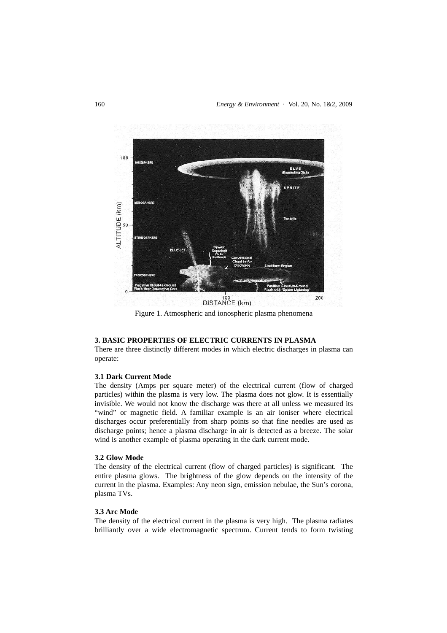

Figure 1. Atmospheric and ionospheric plasma phenomena

# **3. BASIC PROPERTIES OF ELECTRIC CURRENTS IN PLASMA**

There are three distinctly different modes in which electric discharges in plasma can operate:

# **3.1 Dark Current Mode**

The density (Amps per square meter) of the electrical current (flow of charged particles) within the plasma is very low. The plasma does not glow. It is essentially invisible. We would not know the discharge was there at all unless we measured its "wind" or magnetic field. A familiar example is an air ioniser where electrical discharges occur preferentially from sharp points so that fine needles are used as discharge points; hence a plasma discharge in air is detected as a breeze. The solar wind is another example of plasma operating in the dark current mode.

#### **3.2 Glow Mode**

The density of the electrical current (flow of charged particles) is significant. The entire plasma glows. The brightness of the glow depends on the intensity of the current in the plasma. Examples: Any neon sign, emission nebulae, the Sun's corona, plasma TVs.

#### **3.3 Arc Mode**

The density of the electrical current in the plasma is very high. The plasma radiates brilliantly over a wide electromagnetic spectrum. Current tends to form twisting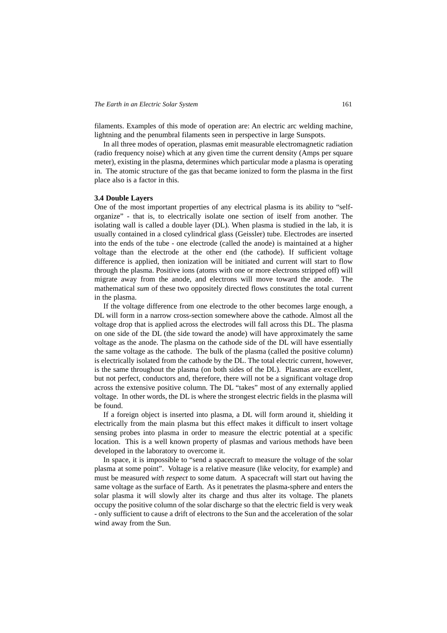filaments. Examples of this mode of operation are: An electric arc welding machine, lightning and the penumbral filaments seen in perspective in large Sunspots.

In all three modes of operation, plasmas emit measurable electromagnetic radiation (radio frequency noise) which at any given time the current density (Amps per square meter), existing in the plasma, determines which particular mode a plasma is operating in. The atomic structure of the gas that became ionized to form the plasma in the first place also is a factor in this.

#### **3.4 Double Layers**

One of the most important properties of any electrical plasma is its ability to "selforganize" - that is, to electrically isolate one section of itself from another. The isolating wall is called a double layer (DL). When plasma is studied in the lab, it is usually contained in a closed cylindrical glass (Geissler) tube. Electrodes are inserted into the ends of the tube - one electrode (called the anode) is maintained at a higher voltage than the electrode at the other end (the cathode). If sufficient voltage difference is applied, then ionization will be initiated and current will start to flow through the plasma. Positive ions (atoms with one or more electrons stripped off) will migrate away from the anode, and electrons will move toward the anode. The mathematical *sum* of these two oppositely directed flows constitutes the total current in the plasma.

If the voltage difference from one electrode to the other becomes large enough, a DL will form in a narrow cross-section somewhere above the cathode. Almost all the voltage drop that is applied across the electrodes will fall across this DL. The plasma on one side of the DL (the side toward the anode) will have approximately the same voltage as the anode. The plasma on the cathode side of the DL will have essentially the same voltage as the cathode. The bulk of the plasma (called the positive column) is electrically isolated from the cathode by the DL. The total electric current, however, is the same throughout the plasma (on both sides of the DL). Plasmas are excellent, but not perfect, conductors and, therefore, there will not be a significant voltage drop across the extensive positive column. The DL "takes" most of any externally applied voltage. In other words, the DL is where the strongest electric fields in the plasma will be found.

If a foreign object is inserted into plasma, a DL will form around it, shielding it electrically from the main plasma but this effect makes it difficult to insert voltage sensing probes into plasma in order to measure the electric potential at a specific location. This is a well known property of plasmas and various methods have been developed in the laboratory to overcome it.

In space, it is impossible to "send a spacecraft to measure the voltage of the solar plasma at some point". Voltage is a relative measure (like velocity, for example) and must be measured *with respect* to some datum. A spacecraft will start out having the same voltage as the surface of Earth. As it penetrates the plasma-sphere and enters the solar plasma it will slowly alter its charge and thus alter its voltage. The planets occupy the positive column of the solar discharge so that the electric field is very weak - only sufficient to cause a drift of electrons to the Sun and the acceleration of the solar wind away from the Sun.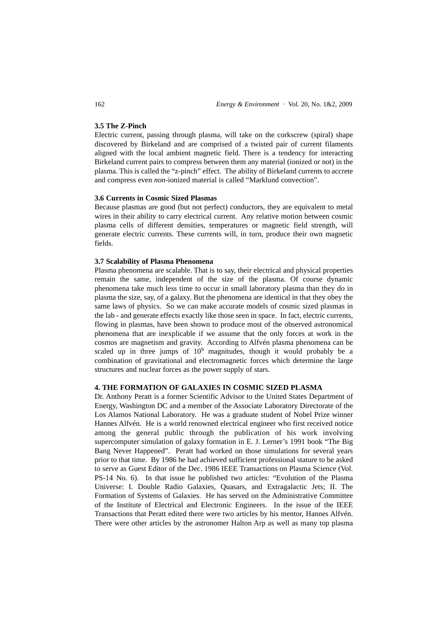# **3.5 The Z-Pinch**

Electric current, passing through plasma, will take on the corkscrew (spiral) shape discovered by Birkeland and are comprised of a twisted pair of current filaments aligned with the local ambient magnetic field. There is a tendency for interacting Birkeland current pairs to compress between them any material (ionized or not) in the plasma. This is called the "z-pinch" effect. The ability of Birkeland currents to accrete and compress even *non*-ionized material is called "Marklund convection".

## **3.6 Currents in Cosmic Sized Plasmas**

Because plasmas are good (but not perfect) conductors, they are equivalent to metal wires in their ability to carry electrical current. Any relative motion between cosmic plasma cells of different densities, temperatures or magnetic field strength, will generate electric currents. These currents will, in turn, produce their own magnetic fields.

## **3.7 Scalability of Plasma Phenomena**

Plasma phenomena are scalable. That is to say, their electrical and physical properties remain the same, independent of the size of the plasma. Of course dynamic phenomena take much less time to occur in small laboratory plasma than they do in plasma the size, say, of a galaxy. But the phenomena are identical in that they obey the same laws of physics. So we can make accurate models of cosmic sized plasmas in the lab - and generate effects exactly like those seen in space. In fact, electric currents, flowing in plasmas, have been shown to produce most of the observed astronomical phenomena that are inexplicable if we assume that the only forces at work in the cosmos are magnetism and gravity. According to Alfvén plasma phenomena can be scaled up in three jumps of  $10<sup>9</sup>$  magnitudes, though it would probably be a combination of gravitational and electromagnetic forces which determine the large structures and nuclear forces as the power supply of stars.

#### **4. THE FORMATION OF GALAXIES IN COSMIC SIZED PLASMA**

Dr. Anthony Peratt is a former Scientific Advisor to the United States Department of Energy, Washington DC and a member of the Associate Laboratory Directorate of the Los Alamos National Laboratory. He was a graduate student of Nobel Prize winner Hannes Alfvén. He is a world renowned electrical engineer who first received notice among the general public through the publication of his work involving supercomputer simulation of galaxy formation in E. J. Lerner's 1991 book "The Big Bang Never Happened". Peratt had worked on those simulations for several years prior to that time. By 1986 he had achieved sufficient professional stature to be asked to serve as Guest Editor of the Dec. 1986 IEEE Transactions on Plasma Science (Vol. PS-14 No. 6). In that issue he published two articles: "Evolution of the Plasma Universe: I. Double Radio Galaxies, Quasars, and Extragalactic Jets; II. The Formation of Systems of Galaxies. He has served on the Administrative Committee of the Institute of Electrical and Electronic Engineers. In the issue of the IEEE Transactions that Peratt edited there were two articles by his mentor, Hannes Alfvén. There were other articles by the astronomer Halton Arp as well as many top plasma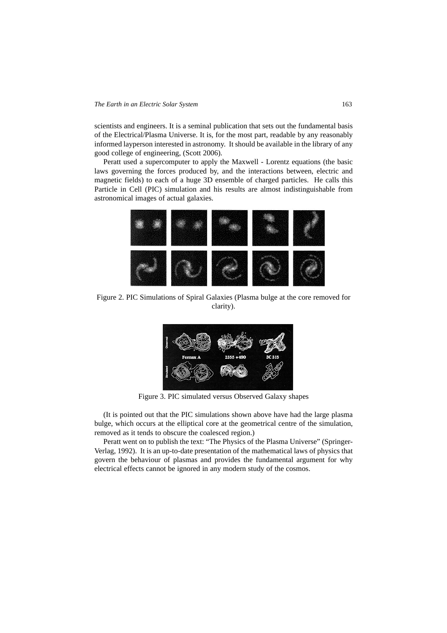scientists and engineers. It is a seminal publication that sets out the fundamental basis of the Electrical/Plasma Universe. It is, for the most part, readable by any reasonably informed layperson interested in astronomy. It should be available in the library of any good college of engineering, (Scott 2006).

Peratt used a supercomputer to apply the Maxwell - Lorentz equations (the basic laws governing the forces produced by, and the interactions between, electric and magnetic fields) to each of a huge 3D ensemble of charged particles. He calls this Particle in Cell (PIC) simulation and his results are almost indistinguishable from astronomical images of actual galaxies.



Figure 2. PIC Simulations of Spiral Galaxies (Plasma bulge at the core removed for clarity).



Figure 3. PIC simulated versus Observed Galaxy shapes

(It is pointed out that the PIC simulations shown above have had the large plasma bulge, which occurs at the elliptical core at the geometrical centre of the simulation, removed as it tends to obscure the coalesced region.)

Peratt went on to publish the text: "The Physics of the Plasma Universe" (Springer-Verlag, 1992). It is an up-to-date presentation of the mathematical laws of physics that govern the behaviour of plasmas and provides the fundamental argument for why electrical effects cannot be ignored in any modern study of the cosmos.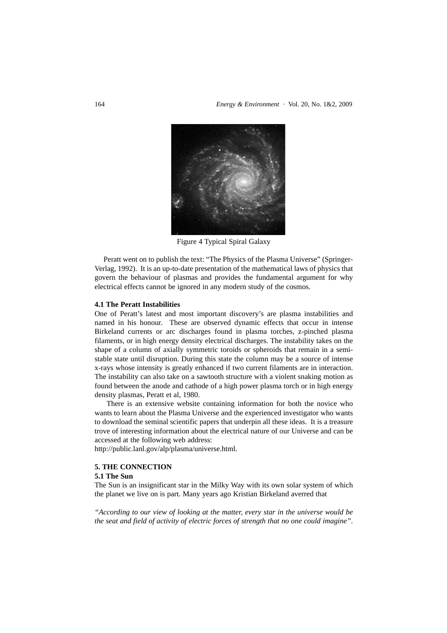

Figure 4 Typical Spiral Galaxy

Peratt went on to publish the text: "The Physics of the Plasma Universe" (Springer-Verlag, 1992). It is an up-to-date presentation of the mathematical laws of physics that govern the behaviour of plasmas and provides the fundamental argument for why electrical effects cannot be ignored in any modern study of the cosmos.

### **4.1 The Peratt Instabilities**

One of Peratt's latest and most important discovery's are plasma instabilities and named in his honour. These are observed dynamic effects that occur in intense Birkeland currents or arc discharges found in plasma torches, z-pinched plasma filaments, or in high energy density electrical discharges. The instability takes on the shape of a column of axially symmetric toroids or spheroids that remain in a semistable state until disruption. During this state the column may be a source of intense x-rays whose intensity is greatly enhanced if two current filaments are in interaction. The instability can also take on a sawtooth structure with a violent snaking motion as found between the anode and cathode of a high power plasma torch or in high energy density plasmas, Peratt et al, 1980.

There is an extensive website containing information for both the novice who wants to learn about the Plasma Universe and the experienced investigator who wants to download the seminal scientific papers that underpin all these ideas. It is a treasure trove of interesting information about the electrical nature of our Universe and can be accessed at the following web address:

http://public.lanl.gov/alp/plasma/universe.html.

# **5. THE CONNECTION**

# **5.1 The Sun**

The Sun is an insignificant star in the Milky Way with its own solar system of which the planet we live on is part. Many years ago Kristian Birkeland averred that

*"According to our view of looking at the matter, every star in the universe would be the seat and field of activity of electric forces of strength that no one could imagine"*.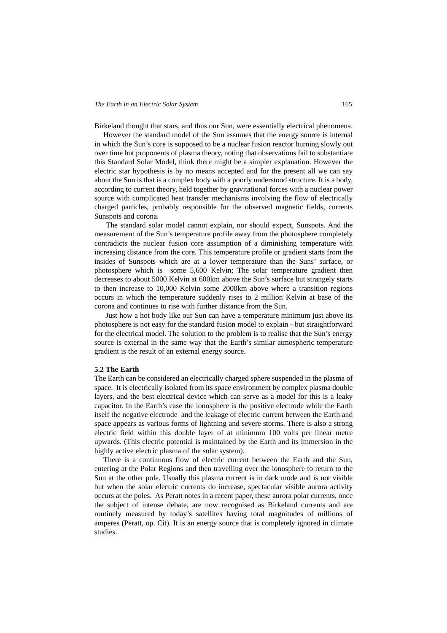Birkeland thought that stars, and thus our Sun, were essentially electrical phenomena.

However the standard model of the Sun assumes that the energy source is internal in which the Sun's core is supposed to be a nuclear fusion reactor burning slowly out over time but proponents of plasma theory, noting that observations fail to substantiate this Standard Solar Model, think there might be a simpler explanation. However the electric star hypothesis is by no means accepted and for the present all we can say about the Sun is that is a complex body with a poorly understood structure. It is a body, according to current theory, held together by gravitational forces with a nuclear power source with complicated heat transfer mechanisms involving the flow of electrically charged particles, probably responsible for the observed magnetic fields, currents Sunspots and corona.

The standard solar model cannot explain, nor should expect, Sunspots. And the measurement of the Sun's temperature profile away from the photosphere completely contradicts the nuclear fusion core assumption of a diminishing temperature with increasing distance from the core. This temperature profile or gradient starts from the insides of Sunspots which are at a lower temperature than the Suns' surface, or photosphere which is some 5,600 Kelvin; The solar temperature gradient then decreases to about 5000 Kelvin at 600km above the Sun's surface but strangely starts to then increase to 10,000 Kelvin some 2000km above where a transition regions occurs in which the temperature suddenly rises to 2 million Kelvin at base of the corona and continues to rise with further distance from the Sun.

Just how a hot body like our Sun can have a temperature minimum just above its photosphere is not easy for the standard fusion model to explain - but straightforward for the electrical model. The solution to the problem is to realise that the Sun's energy source is external in the same way that the Earth's similar atmospheric temperature gradient is the result of an external energy source.

#### **5.2 The Earth**

The Earth can be considered an electrically charged sphere suspended in the plasma of space. It is electrically isolated from its space environment by complex plasma double layers, and the best electrical device which can serve as a model for this is a leaky capacitor. In the Earth's case the ionosphere is the positive electrode while the Earth itself the negative electrode and the leakage of electric current between the Earth and space appears as various forms of lightning and severe storms. There is also a strong electric field within this double layer of at minimum 100 volts per linear metre upwards. (This electric potential is maintained by the Earth and its immersion in the highly active electric plasma of the solar system).

There is a continuous flow of electric current between the Earth and the Sun, entering at the Polar Regions and then travelling over the ionosphere to return to the Sun at the other pole. Usually this plasma current is in dark mode and is not visible but when the solar electric currents do increase, spectacular visible aurora activity occurs at the poles. As Peratt notes in a recent paper, these aurora polar currents, once the subject of intense debate, are now recognised as Birkeland currents and are routinely measured by today's satellites having total magnitudes of millions of amperes (Peratt, op. Cit). It is an energy source that is completely ignored in climate studies.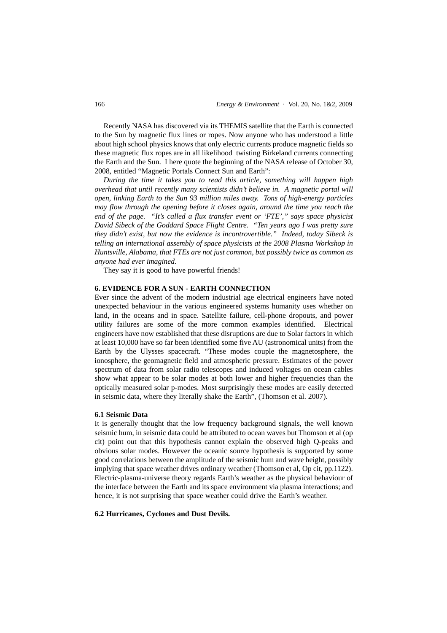Recently NASA has discovered via its THEMIS satellite that the Earth is connected to the Sun by magnetic flux lines or ropes. Now anyone who has understood a little about high school physics knows that only electric currents produce magnetic fields so these magnetic flux ropes are in all likelihood twisting Birkeland currents connecting the Earth and the Sun. I here quote the beginning of the NASA release of October 30, 2008, entitled "Magnetic Portals Connect Sun and Earth":

*During the time it takes you to read this article, something will happen high overhead that until recently many scientists didn't believe in. A magnetic portal will open, linking Earth to the Sun 93 million miles away. Tons of high-energy particles may flow through the opening before it closes again, around the time you reach the end of the page. "It's called a flux transfer event or 'FTE'," says space physicist David Sibeck of the Goddard Space Flight Centre. "Ten years ago I was pretty sure they didn't exist, but now the evidence is incontrovertible." Indeed, today Sibeck is telling an international assembly of space physicists at the 2008 Plasma Workshop in Huntsville, Alabama, that FTEs are not just common, but possibly twice as common as anyone had ever imagined.*

They say it is good to have powerful friends!

#### **6. EVIDENCE FOR A SUN - EARTH CONNECTION**

Ever since the advent of the modern industrial age electrical engineers have noted unexpected behaviour in the various engineered systems humanity uses whether on land, in the oceans and in space. Satellite failure, cell-phone dropouts, and power utility failures are some of the more common examples identified. Electrical engineers have now established that these disruptions are due to Solar factors in which at least 10,000 have so far been identified some five AU (astronomical units) from the Earth by the Ulysses spacecraft. "These modes couple the magnetosphere, the ionosphere, the geomagnetic field and atmospheric pressure. Estimates of the power spectrum of data from solar radio telescopes and induced voltages on ocean cables show what appear to be solar modes at both lower and higher frequencies than the optically measured solar p-modes. Most surprisingly these modes are easily detected in seismic data, where they literally shake the Earth", (Thomson et al. 2007).

### **6.1 Seismic Data**

It is generally thought that the low frequency background signals, the well known seismic hum, in seismic data could be attributed to ocean waves but Thomson et al (op cit) point out that this hypothesis cannot explain the observed high Q-peaks and obvious solar modes. However the oceanic source hypothesis is supported by some good correlations between the amplitude of the seismic hum and wave height, possibly implying that space weather drives ordinary weather (Thomson et al, Op cit, pp.1122). Electric-plasma-universe theory regards Earth's weather as the physical behaviour of the interface between the Earth and its space environment via plasma interactions; and hence, it is not surprising that space weather could drive the Earth's weather.

### **6.2 Hurricanes, Cyclones and Dust Devils.**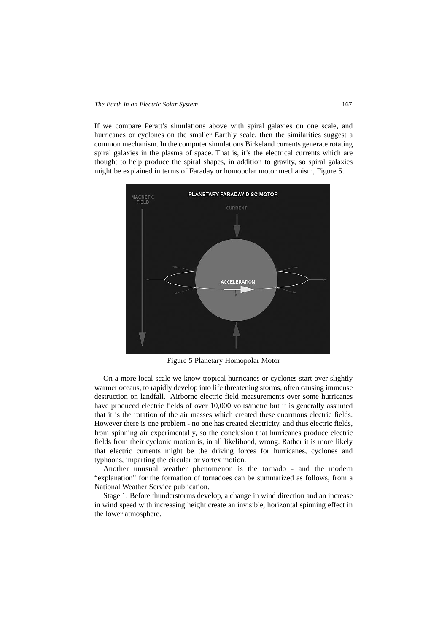If we compare Peratt's simulations above with spiral galaxies on one scale, and hurricanes or cyclones on the smaller Earthly scale, then the similarities suggest a common mechanism. In the computer simulations Birkeland currents generate rotating spiral galaxies in the plasma of space. That is, it's the electrical currents which are thought to help produce the spiral shapes, in addition to gravity, so spiral galaxies might be explained in terms of Faraday or homopolar motor mechanism, Figure 5.



Figure 5 Planetary Homopolar Motor

On a more local scale we know tropical hurricanes or cyclones start over slightly warmer oceans, to rapidly develop into life threatening storms, often causing immense destruction on landfall. Airborne electric field measurements over some hurricanes have produced electric fields of over 10,000 volts/metre but it is generally assumed that it is the rotation of the air masses which created these enormous electric fields. However there is one problem - no one has created electricity, and thus electric fields, from spinning air experimentally, so the conclusion that hurricanes produce electric fields from their cyclonic motion is, in all likelihood, wrong. Rather it is more likely that electric currents might be the driving forces for hurricanes, cyclones and typhoons, imparting the circular or vortex motion.

Another unusual weather phenomenon is the tornado - and the modern "explanation" for the formation of tornadoes can be summarized as follows, from a National Weather Service publication.

Stage 1: Before thunderstorms develop, a change in wind direction and an increase in wind speed with increasing height create an invisible, horizontal spinning effect in the lower atmosphere.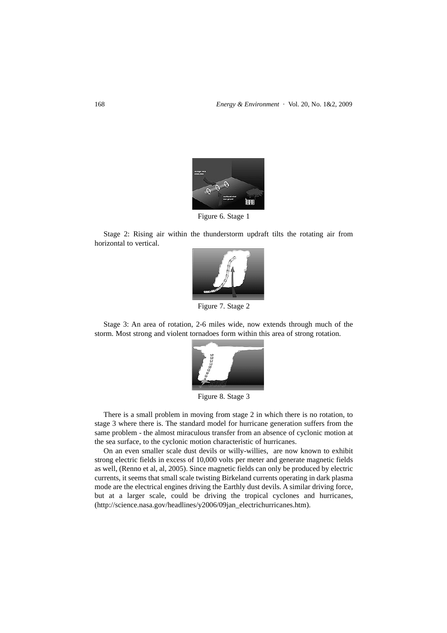

Figure 6. Stage 1

Stage 2: Rising air within the thunderstorm updraft tilts the rotating air from horizontal to vertical.



Figure 7. Stage 2

Stage 3: An area of rotation, 2-6 miles wide, now extends through much of the storm. Most strong and violent tornadoes form within this area of strong rotation.



Figure 8. Stage 3

There is a small problem in moving from stage 2 in which there is no rotation, to stage 3 where there is. The standard model for hurricane generation suffers from the same problem - the almost miraculous transfer from an absence of cyclonic motion at the sea surface, to the cyclonic motion characteristic of hurricanes.

On an even smaller scale dust devils or willy-willies, are now known to exhibit strong electric fields in excess of 10,000 volts per meter and generate magnetic fields as well, (Renno et al, al, 2005). Since magnetic fields can only be produced by electric currents, it seems that small scale twisting Birkeland currents operating in dark plasma mode are the electrical engines driving the Earthly dust devils. A similar driving force, but at a larger scale, could be driving the tropical cyclones and hurricanes, (http://science.nasa.gov/headlines/y2006/09jan\_electrichurricanes.htm).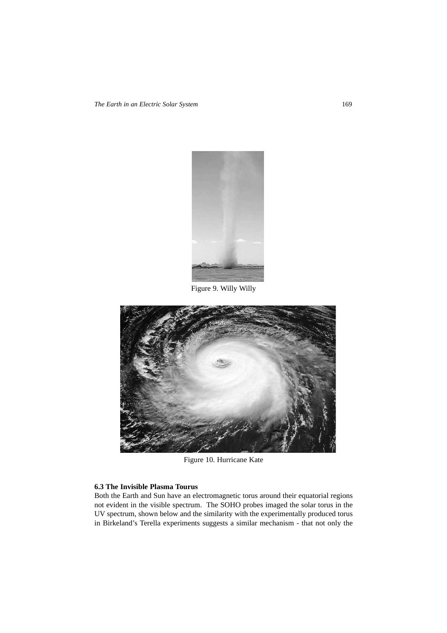

Figure 9. Willy Willy



Figure 10. Hurricane Kate

# **6.3 The Invisible Plasma Tourus**

Both the Earth and Sun have an electromagnetic torus around their equatorial regions not evident in the visible spectrum. The SOHO probes imaged the solar torus in the UV spectrum, shown below and the similarity with the experimentally produced torus in Birkeland's Terella experiments suggests a similar mechanism - that not only the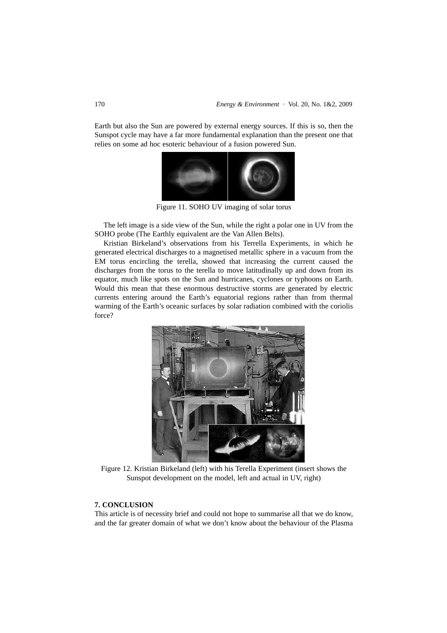Earth but also the Sun are powered by external energy sources. If this is so, then the Sunspot cycle may have a far more fundamental explanation than the present one that relies on some ad hoc esoteric behaviour of a fusion powered Sun.



Figure 11. SOHO UV imaging of solar torus

The left image is a side view of the Sun, while the right a polar one in UV from the SOHO probe (The Earthly equivalent are the Van Allen Belts).

Kristian Birkeland's observations from his Terrella Experiments, in which he generated electrical discharges to a magnetised metallic sphere in a vacuum from the EM torus encircling the terella, showed that increasing the current caused the discharges from the torus to the terella to move latitudinally up and down from its equator, much like spots on the Sun and hurricanes, cyclones or typhoons on Earth. Would this mean that these enormous destructive storms are generated by electric currents entering around the Earth's equatorial regions rather than from thermal warming of the Earth's oceanic surfaces by solar radiation combined with the coriolis force?



Figure 12. Kristian Birkeland (left) with his Terella Experiment (insert shows the Sunspot development on the model, left and actual in UV, right)

# **7. CONCLUSION**

This article is of necessity brief and could not hope to summarise all that we do know, and the far greater domain of what we don't know about the behaviour of the Plasma